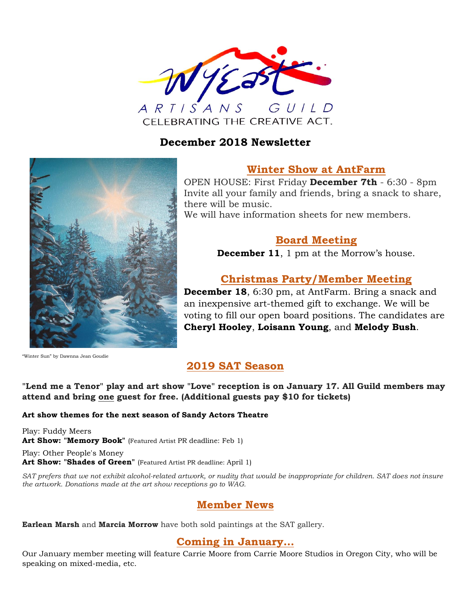

### **December 2018 Newsletter**



### **Winter Show at AntFarm**

OPEN HOUSE: First Friday **December 7th** - 6:30 - 8pm Invite all your family and friends, bring a snack to share, there will be music.

We will have information sheets for new members.

## **Board Meeting**

**December 11**, 1 pm at the Morrow's house.

## **Christmas Party/Member Meeting**

**December 18**, 6:30 pm, at AntFarm. Bring a snack and an inexpensive art-themed gift to exchange. We will be voting to fill our open board positions. The candidates are **Cheryl Hooley**, **Loisann Young**, and **Melody Bush**.

"Winter Sun" by Dawnna Jean Goudie

# **2019 SAT Season**

#### **"Lend me a Tenor" play and art show "Love" reception is on January 17. All Guild members may attend and bring one guest for free. (Additional guests pay \$10 for tickets)**

#### **Art show themes for the next season of Sandy Actors Theatre**

Play: Fuddy Meers Art Show: "Memory Book" (Featured Artist PR deadline: Feb 1)

Play: Other People's Money Art Show: "Shades of Green" (Featured Artist PR deadline: April 1)

*SAT prefers that we not exhibit alcohol-related artwork, or nudity that would be inappropriate for children. SAT does not insure the artwork. Donations made at the art show receptions go to WAG.*

## **Member News**

**Earlean Marsh** and **Marcia Morrow** have both sold paintings at the SAT gallery.

### **Coming in January…**

Our January member meeting will feature Carrie Moore from Carrie Moore Studios in Oregon City, who will be speaking on mixed-media, etc.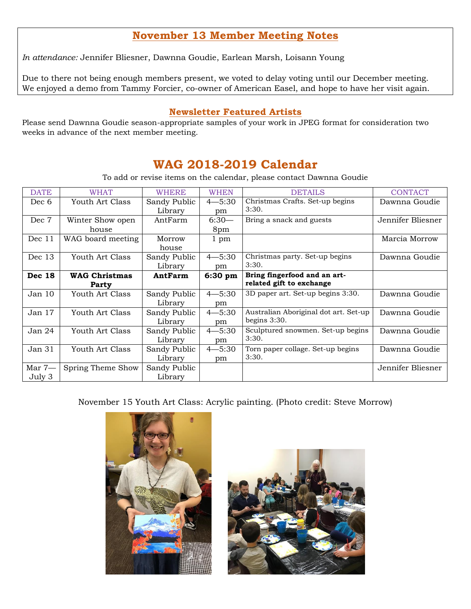## **November 13 Member Meeting Notes**

*In attendance:* Jennifer Bliesner, Dawnna Goudie, Earlean Marsh, Loisann Young

Due to there not being enough members present, we voted to delay voting until our December meeting. We enjoyed a demo from Tammy Forcier, co-owner of American Easel, and hope to have her visit again.

#### **Newsletter Featured Artists**

Please send Dawnna Goudie season-appropriate samples of your work in JPEG format for consideration two weeks in advance of the next member meeting.

# **WAG 2018-2019 Calendar**

To add or revise items on the calendar, please contact Dawnna Goudie

| <b>DATE</b>       | <b>WHAT</b>          | <b>WHERE</b> | <b>WHEN</b> | <b>DETAILS</b>                        | <b>CONTACT</b>    |
|-------------------|----------------------|--------------|-------------|---------------------------------------|-------------------|
| Dec 6             | Youth Art Class      | Sandy Public | $4 - 5:30$  | Christmas Crafts. Set-up begins       | Dawnna Goudie     |
|                   |                      | Library      | pm          | 3:30.                                 |                   |
| Dec 7             | Winter Show open     | AntFarm      | $6:30-$     | Bring a snack and guests              | Jennifer Bliesner |
|                   | house                |              | 8pm         |                                       |                   |
| Dec 11            | WAG board meeting    | Morrow       | 1 pm        |                                       | Marcia Morrow     |
|                   |                      | house        |             |                                       |                   |
| Dec 13            | Youth Art Class      | Sandy Public | $4 - 5:30$  | Christmas party. Set-up begins        | Dawnna Goudie     |
|                   |                      | Library      | pm          | 3:30.                                 |                   |
| <b>Dec 18</b>     | <b>WAG Christmas</b> | AntFarm      | $6:30$ pm   | Bring fingerfood and an art-          |                   |
|                   | Party                |              |             | related gift to exchange              |                   |
| Jan 10            | Youth Art Class      | Sandy Public | $4 - 5:30$  | 3D paper art. Set-up begins 3:30.     | Dawnna Goudie     |
|                   |                      | Library      | pm          |                                       |                   |
| Jan 17            | Youth Art Class      | Sandy Public | $4 - 5:30$  | Australian Aboriginal dot art. Set-up | Dawnna Goudie     |
|                   |                      | Library      | pm          | begins $3:30$ .                       |                   |
| Jan <sub>24</sub> | Youth Art Class      | Sandy Public | $4 - 5:30$  | Sculptured snowmen. Set-up begins     | Dawnna Goudie     |
|                   |                      | Library      | pm          | 3:30.                                 |                   |
| Jan 31            | Youth Art Class      | Sandy Public | $4 - 5:30$  | Torn paper collage. Set-up begins     | Dawnna Goudie     |
|                   |                      | Library      | pm          | 3:30.                                 |                   |
| Mar 7-            | Spring Theme Show    | Sandy Public |             |                                       | Jennifer Bliesner |
| July 3            |                      | Library      |             |                                       |                   |

November 15 Youth Art Class: Acrylic painting. (Photo credit: Steve Morrow)